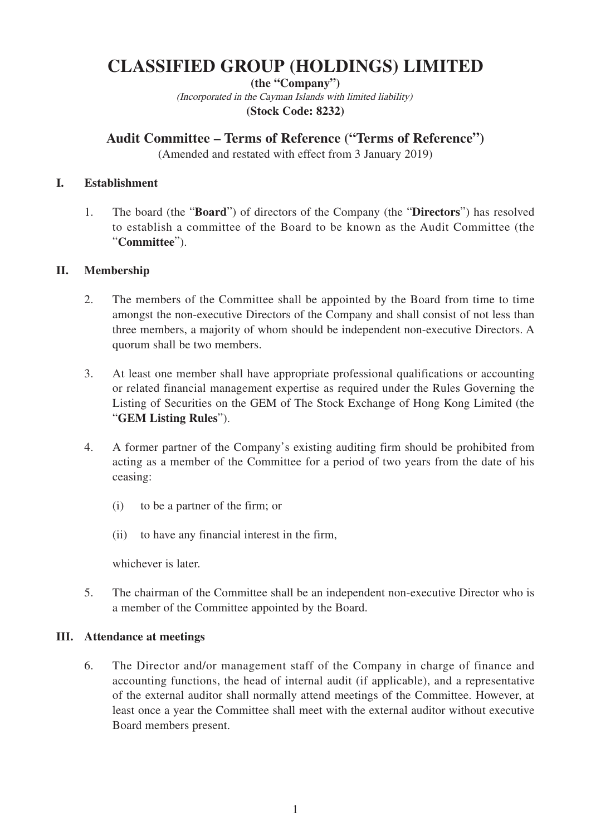# **CLASSIFIED GROUP (HOLDINGS) LIMITED**

**(the "Company")** (Incorporated in the Cayman Islands with limited liability) **(Stock Code: 8232)**

## **Audit Committee – Terms of Reference ("Terms of Reference")**

(Amended and restated with effect from 3 January 2019)

### **I. Establishment**

1. The board (the "**Board**") of directors of the Company (the "**Directors**") has resolved to establish a committee of the Board to be known as the Audit Committee (the "**Committee**").

### **II. Membership**

- 2. The members of the Committee shall be appointed by the Board from time to time amongst the non-executive Directors of the Company and shall consist of not less than three members, a majority of whom should be independent non-executive Directors. A quorum shall be two members.
- 3. At least one member shall have appropriate professional qualifications or accounting or related financial management expertise as required under the Rules Governing the Listing of Securities on the GEM of The Stock Exchange of Hong Kong Limited (the "**GEM Listing Rules**").
- 4. A former partner of the Company's existing auditing firm should be prohibited from acting as a member of the Committee for a period of two years from the date of his ceasing:
	- (i) to be a partner of the firm; or
	- (ii) to have any financial interest in the firm,

whichever is later.

5. The chairman of the Committee shall be an independent non-executive Director who is a member of the Committee appointed by the Board.

### **III. Attendance at meetings**

6. The Director and/or management staff of the Company in charge of finance and accounting functions, the head of internal audit (if applicable), and a representative of the external auditor shall normally attend meetings of the Committee. However, at least once a year the Committee shall meet with the external auditor without executive Board members present.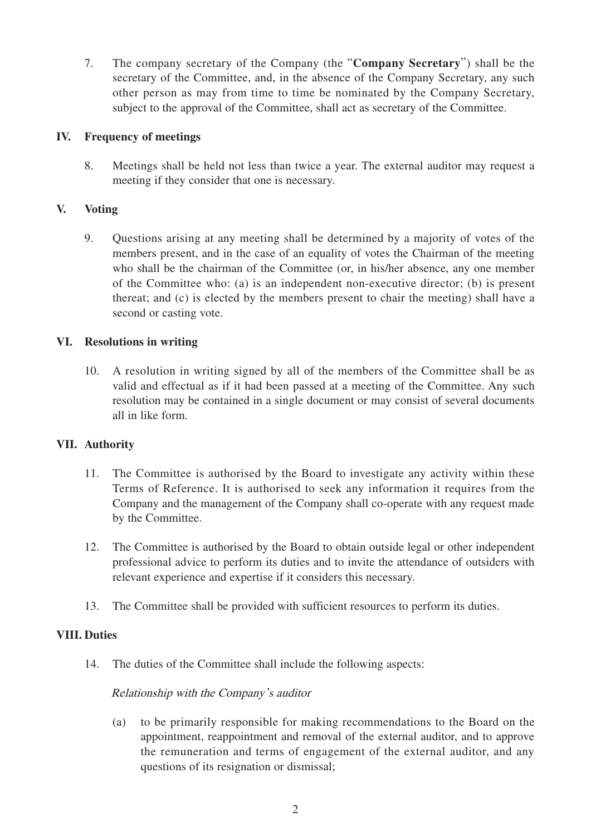7. The company secretary of the Company (the "**Company Secretary**") shall be the secretary of the Committee, and, in the absence of the Company Secretary, any such other person as may from time to time be nominated by the Company Secretary, subject to the approval of the Committee, shall act as secretary of the Committee.

#### **IV. Frequency of meetings**

8. Meetings shall be held not less than twice a year. The external auditor may request a meeting if they consider that one is necessary.

### **V. Voting**

9. Questions arising at any meeting shall be determined by a majority of votes of the members present, and in the case of an equality of votes the Chairman of the meeting who shall be the chairman of the Committee (or, in his/her absence, any one member of the Committee who: (a) is an independent non-executive director; (b) is present thereat; and (c) is elected by the members present to chair the meeting) shall have a second or casting vote.

### **VI. Resolutions in writing**

10. A resolution in writing signed by all of the members of the Committee shall be as valid and effectual as if it had been passed at a meeting of the Committee. Any such resolution may be contained in a single document or may consist of several documents all in like form.

### **VII. Authority**

- 11. The Committee is authorised by the Board to investigate any activity within these Terms of Reference. It is authorised to seek any information it requires from the Company and the management of the Company shall co-operate with any request made by the Committee.
- 12. The Committee is authorised by the Board to obtain outside legal or other independent professional advice to perform its duties and to invite the attendance of outsiders with relevant experience and expertise if it considers this necessary.
- 13. The Committee shall be provided with sufficient resources to perform its duties.

### **VIII. Duties**

14. The duties of the Committee shall include the following aspects:

#### Relationship with the Company's auditor

(a) to be primarily responsible for making recommendations to the Board on the appointment, reappointment and removal of the external auditor, and to approve the remuneration and terms of engagement of the external auditor, and any questions of its resignation or dismissal;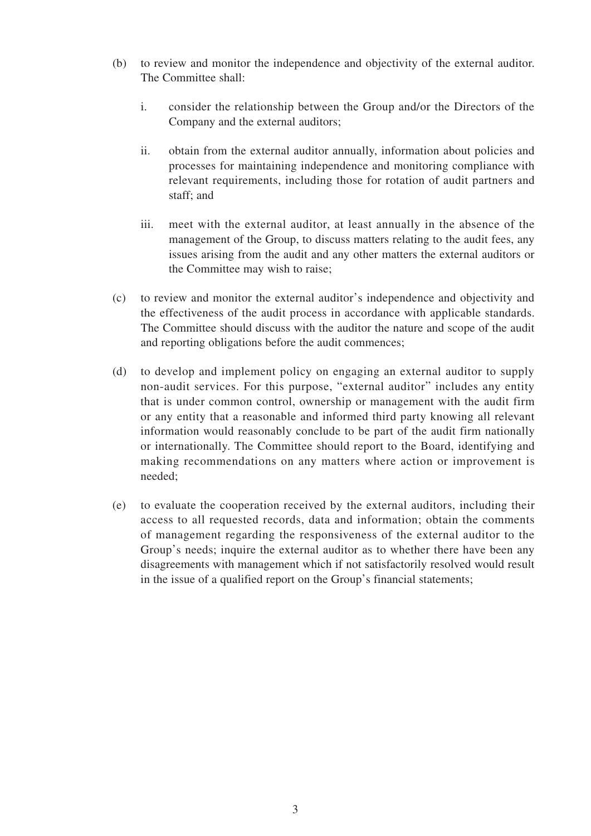- (b) to review and monitor the independence and objectivity of the external auditor. The Committee shall:
	- i. consider the relationship between the Group and/or the Directors of the Company and the external auditors;
	- ii. obtain from the external auditor annually, information about policies and processes for maintaining independence and monitoring compliance with relevant requirements, including those for rotation of audit partners and staff; and
	- iii. meet with the external auditor, at least annually in the absence of the management of the Group, to discuss matters relating to the audit fees, any issues arising from the audit and any other matters the external auditors or the Committee may wish to raise;
- (c) to review and monitor the external auditor's independence and objectivity and the effectiveness of the audit process in accordance with applicable standards. The Committee should discuss with the auditor the nature and scope of the audit and reporting obligations before the audit commences;
- (d) to develop and implement policy on engaging an external auditor to supply non-audit services. For this purpose, "external auditor" includes any entity that is under common control, ownership or management with the audit firm or any entity that a reasonable and informed third party knowing all relevant information would reasonably conclude to be part of the audit firm nationally or internationally. The Committee should report to the Board, identifying and making recommendations on any matters where action or improvement is needed;
- (e) to evaluate the cooperation received by the external auditors, including their access to all requested records, data and information; obtain the comments of management regarding the responsiveness of the external auditor to the Group's needs; inquire the external auditor as to whether there have been any disagreements with management which if not satisfactorily resolved would result in the issue of a qualified report on the Group's financial statements;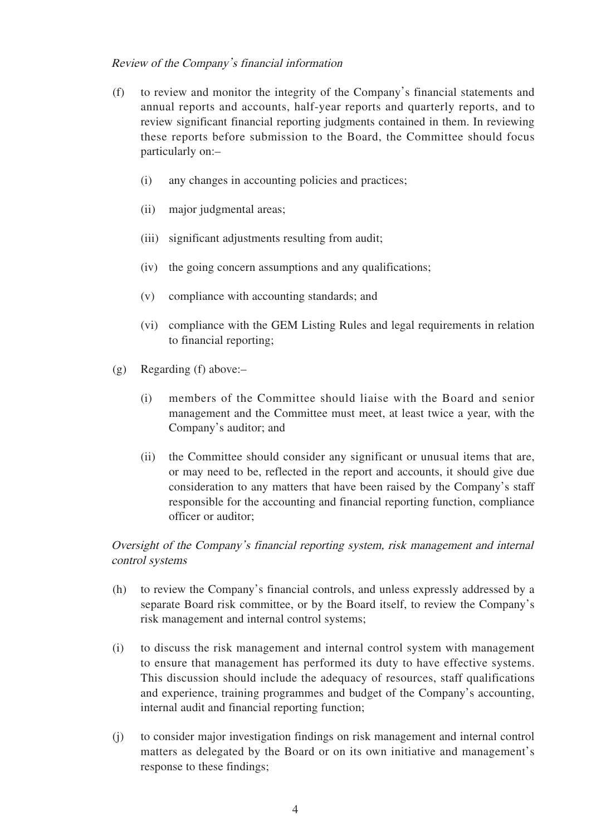### Review of the Company's financial information

- (f) to review and monitor the integrity of the Company's financial statements and annual reports and accounts, half-year reports and quarterly reports, and to review significant financial reporting judgments contained in them. In reviewing these reports before submission to the Board, the Committee should focus particularly on:–
	- (i) any changes in accounting policies and practices;
	- (ii) major judgmental areas;
	- (iii) significant adjustments resulting from audit;
	- (iv) the going concern assumptions and any qualifications;
	- (v) compliance with accounting standards; and
	- (vi) compliance with the GEM Listing Rules and legal requirements in relation to financial reporting;
- (g) Regarding (f) above:–
	- (i) members of the Committee should liaise with the Board and senior management and the Committee must meet, at least twice a year, with the Company's auditor; and
	- (ii) the Committee should consider any significant or unusual items that are, or may need to be, reflected in the report and accounts, it should give due consideration to any matters that have been raised by the Company's staff responsible for the accounting and financial reporting function, compliance officer or auditor;

Oversight of the Company's financial reporting system, risk management and internal control systems

- (h) to review the Company's financial controls, and unless expressly addressed by a separate Board risk committee, or by the Board itself, to review the Company's risk management and internal control systems;
- (i) to discuss the risk management and internal control system with management to ensure that management has performed its duty to have effective systems. This discussion should include the adequacy of resources, staff qualifications and experience, training programmes and budget of the Company's accounting, internal audit and financial reporting function;
- (j) to consider major investigation findings on risk management and internal control matters as delegated by the Board or on its own initiative and management's response to these findings;